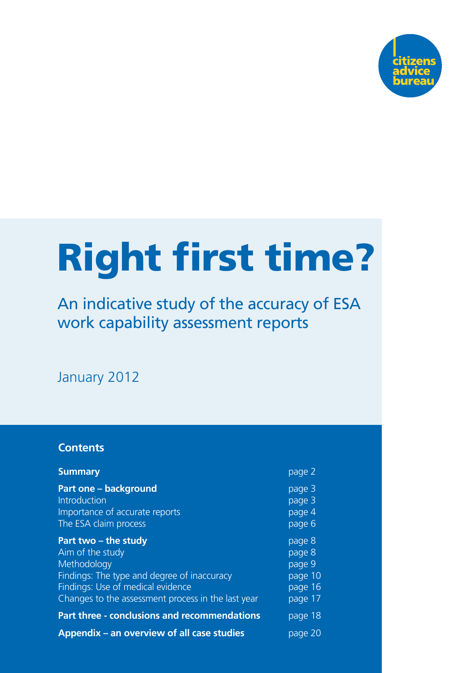

# Right first time?

An indicative study of the accuracy of ESA work capability assessment reports

January 2012

#### **Contents**

| <b>Summary</b>                                                                                                                                                                                    | page 2                                                      |
|---------------------------------------------------------------------------------------------------------------------------------------------------------------------------------------------------|-------------------------------------------------------------|
| <b>Part one – background</b><br>Introduction<br>Importance of accurate reports<br>The ESA claim process                                                                                           | page 3<br>page 3<br>page 4<br>page 6                        |
| Part two – the study<br>Aim of the study<br>Methodology<br>Findings: The type and degree of inaccuracy<br>Findings: Use of medical evidence<br>Changes to the assessment process in the last year | page 8<br>page 8<br>page 9<br>page 10<br>page 16<br>page 17 |
| <b>Part three - conclusions and recommendations</b>                                                                                                                                               | page 18                                                     |
| Appendix – an overview of all case studies                                                                                                                                                        | page 20                                                     |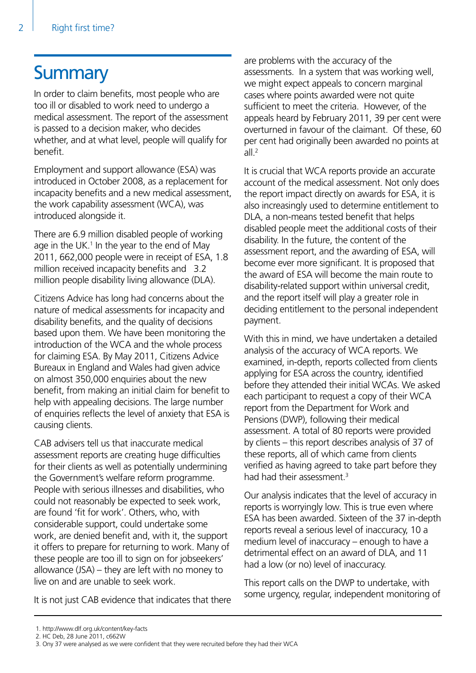# **Summary**

In order to claim benefits, most people who are too ill or disabled to work need to undergo a medical assessment. The report of the assessment is passed to a decision maker, who decides whether, and at what level, people will qualify for benefit.

Employment and support allowance (ESA) was introduced in October 2008, as a replacement for incapacity benefits and a new medical assessment, the work capability assessment (WCA), was introduced alongside it.

There are 6.9 million disabled people of working age in the UK. $<sup>1</sup>$  In the year to the end of May</sup> 2011, 662,000 people were in receipt of ESA, 1.8 million received incapacity benefits and 3.2 million people disability living allowance (DLA).

Citizens Advice has long had concerns about the nature of medical assessments for incapacity and disability benefits, and the quality of decisions based upon them. We have been monitoring the introduction of the WCA and the whole process for claiming ESA. By May 2011, Citizens Advice Bureaux in England and Wales had given advice on almost 350,000 enquiries about the new benefit, from making an initial claim for benefit to help with appealing decisions. The large number of enquiries reflects the level of anxiety that ESA is causing clients.

CAB advisers tell us that inaccurate medical assessment reports are creating huge difficulties for their clients as well as potentially undermining the Government's welfare reform programme. People with serious illnesses and disabilities, who could not reasonably be expected to seek work, are found 'fit for work'. Others, who, with considerable support, could undertake some work, are denied benefit and, with it, the support it offers to prepare for returning to work. Many of these people are too ill to sign on for jobseekers' allowance (JSA) – they are left with no money to live on and are unable to seek work.

It is not just CAB evidence that indicates that there

are problems with the accuracy of the assessments. In a system that was working well, we might expect appeals to concern marginal cases where points awarded were not quite sufficient to meet the criteria. However, of the appeals heard by February 2011, 39 per cent were overturned in favour of the claimant. Of these, 60 per cent had originally been awarded no points at  $all.<sup>2</sup>$ 

It is crucial that WCA reports provide an accurate account of the medical assessment. Not only does the report impact directly on awards for ESA, it is also increasingly used to determine entitlement to DLA, a non-means tested benefit that helps disabled people meet the additional costs of their disability. In the future, the content of the assessment report, and the awarding of ESA, will become ever more significant. It is proposed that the award of ESA will become the main route to disability-related support within universal credit, and the report itself will play a greater role in deciding entitlement to the personal independent payment.

With this in mind, we have undertaken a detailed analysis of the accuracy of WCA reports. We examined, in-depth, reports collected from clients applying for ESA across the country, identified before they attended their initial WCAs. We asked each participant to request a copy of their WCA report from the Department for Work and Pensions (DWP), following their medical assessment. A total of 80 reports were provided by clients – this report describes analysis of 37 of these reports, all of which came from clients verified as having agreed to take part before they had had their assessment.<sup>3</sup>

Our analysis indicates that the level of accuracy in reports is worryingly low. This is true even where ESA has been awarded. Sixteen of the 37 in-depth reports reveal a serious level of inaccuracy, 10 a medium level of inaccuracy – enough to have a detrimental effect on an award of DLA, and 11 had a low (or no) level of inaccuracy.

This report calls on the DWP to undertake, with some urgency, regular, independent monitoring of

 <sup>1.</sup> http://www.dlf.org.uk/content/key-facts

 <sup>2.</sup> HC Deb, 28 June 2011, c662W

 <sup>3.</sup> Ony 37 were analysed as we were confident that they were recruited before they had their WCA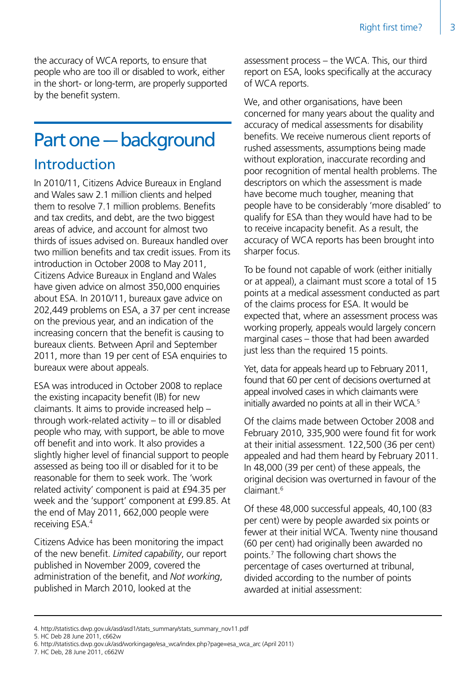the accuracy of WCA reports, to ensure that people who are too ill or disabled to work, either in the short- or long-term, are properly supported by the benefit system.

# Part one - background

# Introduction

In 2010/11, Citizens Advice Bureaux in England and Wales saw 2.1 million clients and helped them to resolve 7.1 million problems. Benefits and tax credits, and debt, are the two biggest areas of advice, and account for almost two thirds of issues advised on. Bureaux handled over two million benefits and tax credit issues. From its introduction in October 2008 to May 2011, Citizens Advice Bureaux in England and Wales have given advice on almost 350,000 enquiries about ESA. In 2010/11, bureaux gave advice on 202,449 problems on ESA, a 37 per cent increase on the previous year, and an indication of the increasing concern that the benefit is causing to bureaux clients. Between April and September 2011, more than 19 per cent of ESA enquiries to bureaux were about appeals.

ESA was introduced in October 2008 to replace the existing incapacity benefit (IB) for new claimants. It aims to provide increased help – through work-related activity – to ill or disabled people who may, with support, be able to move off benefit and into work. It also provides a slightly higher level of financial support to people assessed as being too ill or disabled for it to be reasonable for them to seek work. The 'work related activity' component is paid at £94.35 per week and the 'support' component at £99.85. At the end of May 2011, 662,000 people were receiving ESA.4

Citizens Advice has been monitoring the impact of the new benefit. *Limited capability*, our report published in November 2009, covered the administration of the benefit, and *Not working*, published in March 2010, looked at the

assessment process – the WCA. This, our third report on ESA, looks specifically at the accuracy of WCA reports.

We, and other organisations, have been concerned for many years about the quality and accuracy of medical assessments for disability benefits. We receive numerous client reports of rushed assessments, assumptions being made without exploration, inaccurate recording and poor recognition of mental health problems. The descriptors on which the assessment is made have become much tougher, meaning that people have to be considerably 'more disabled' to qualify for ESA than they would have had to be to receive incapacity benefit. As a result, the accuracy of WCA reports has been brought into sharper focus.

To be found not capable of work (either initially or at appeal), a claimant must score a total of 15 points at a medical assessment conducted as part of the claims process for ESA. It would be expected that, where an assessment process was working properly, appeals would largely concern marginal cases – those that had been awarded just less than the required 15 points.

Yet, data for appeals heard up to February 2011, found that 60 per cent of decisions overturned at appeal involved cases in which claimants were initially awarded no points at all in their WCA.<sup>5</sup>

Of the claims made between October 2008 and February 2010, 335,900 were found fit for work at their initial assessment. 122,500 (36 per cent) appealed and had them heard by February 2011. In 48,000 (39 per cent) of these appeals, the original decision was overturned in favour of the claimant<sup>6</sup>

Of these 48,000 successful appeals, 40,100 (83 per cent) were by people awarded six points or fewer at their initial WCA. Twenty nine thousand (60 per cent) had originally been awarded no points.7 The following chart shows the percentage of cases overturned at tribunal, divided according to the number of points awarded at initial assessment:

5. HC Deb 28 June 2011, c662w

7. HC Deb, 28 June 2011, c662W

<sup>4.</sup> http://statistics.dwp.gov.uk/asd/asd1/stats\_summary/stats\_summary\_nov11.pdf

<sup>6.</sup> http://statistics.dwp.gov.uk/asd/workingage/esa\_wca/index.php?page=esa\_wca\_arc (April 2011)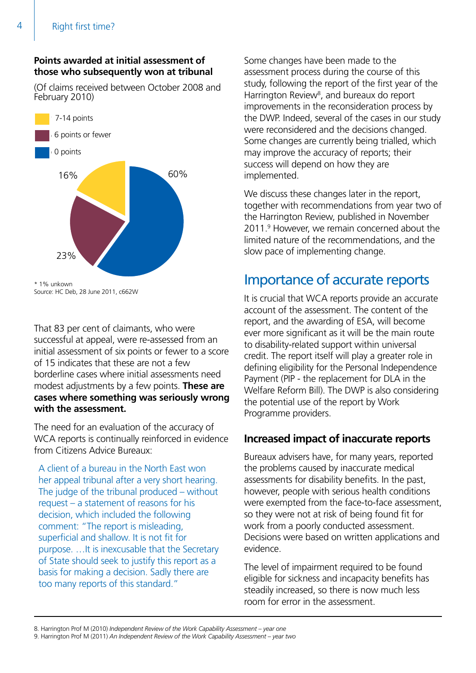#### **Points awarded at initial assessment of those who subsequently won at tribunal**

(Of claims received between October 2008 and February 2010)



Source: HC Deb, 28 June 2011, c662W

That 83 per cent of claimants, who were successful at appeal, were re-assessed from an initial assessment of six points or fewer to a score of 15 indicates that these are not a few borderline cases where initial assessments need modest adjustments by a few points. **These are cases where something was seriously wrong with the assessment.**

The need for an evaluation of the accuracy of WCA reports is continually reinforced in evidence from Citizens Advice Bureaux:

A client of a bureau in the North East won her appeal tribunal after a very short hearing. The judge of the tribunal produced – without request – a statement of reasons for his decision, which included the following comment: "The report is misleading, superficial and shallow. It is not fit for purpose. …It is inexcusable that the Secretary of State should seek to justify this report as a basis for making a decision. Sadly there are too many reports of this standard."

Some changes have been made to the assessment process during the course of this study, following the report of the first year of the Harrington Review<sup>8</sup>, and bureaux do report improvements in the reconsideration process by the DWP. Indeed, several of the cases in our study were reconsidered and the decisions changed. Some changes are currently being trialled, which may improve the accuracy of reports; their success will depend on how they are implemented. 6 points or fewer

> We discuss these changes later in the report, together with recommendations from year two of the Harrington Review, published in November 2011.9 However, we remain concerned about the limited nature of the recommendations, and the slow pace of implementing change.

### Importance of accurate reports

It is crucial that WCA reports provide an accurate account of the assessment. The content of the report, and the awarding of ESA, will become ever more significant as it will be the main route to disability-related support within universal credit. The report itself will play a greater role in defining eligibility for the Personal Independence Payment (PIP - the replacement for DLA in the Welfare Reform Bill). The DWP is also considering the potential use of the report by Work Programme providers.

#### **Increased impact of inaccurate reports**

Bureaux advisers have, for many years, reported the problems caused by inaccurate medical assessments for disability benefits. In the past, however, people with serious health conditions were exempted from the face-to-face assessment, so they were not at risk of being found fit for work from a poorly conducted assessment. Decisions were based on written applications and evidence.

The level of impairment required to be found eligible for sickness and incapacity benefits has steadily increased, so there is now much less room for error in the assessment.

<sup>8.</sup> Harrington Prof M (2010) *Independent Review of the Work Capability Assessment – year one*

<sup>9.</sup> Harrington Prof M (2011) *An Independent Review of the Work Capability Assessment – year two*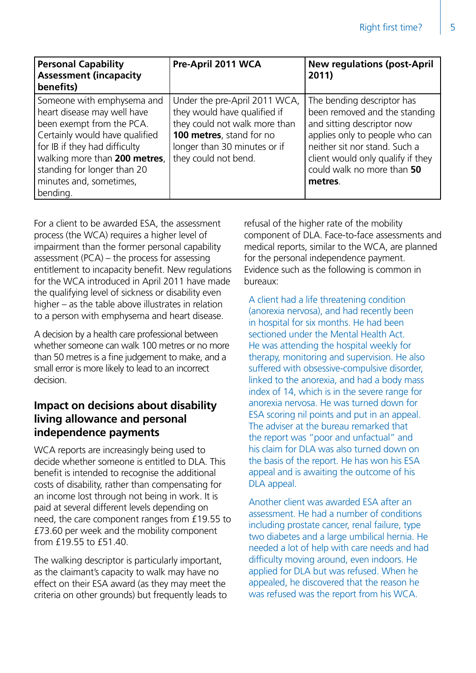| <b>Personal Capability</b><br><b>Assessment (incapacity</b><br>benefits)                                                                                                                                                                                         | Pre-April 2011 WCA                                                                                                                                                                 | <b>New regulations (post-April</b><br>2011)                                                                                                                                                                                                |
|------------------------------------------------------------------------------------------------------------------------------------------------------------------------------------------------------------------------------------------------------------------|------------------------------------------------------------------------------------------------------------------------------------------------------------------------------------|--------------------------------------------------------------------------------------------------------------------------------------------------------------------------------------------------------------------------------------------|
| Someone with emphysema and<br>heart disease may well have<br>been exempt from the PCA.<br>Certainly would have qualified<br>for IB if they had difficulty<br>walking more than 200 metres,<br>standing for longer than 20<br>minutes and, sometimes,<br>bending. | Under the pre-April 2011 WCA,<br>they would have qualified if<br>they could not walk more than<br>100 metres, stand for no<br>longer than 30 minutes or if<br>they could not bend. | The bending descriptor has<br>been removed and the standing<br>and sitting descriptor now<br>applies only to people who can<br>neither sit nor stand. Such a<br>client would only qualify if they<br>could walk no more than 50<br>metres. |

For a client to be awarded ESA, the assessment process (the WCA) requires a higher level of impairment than the former personal capability assessment (PCA) – the process for assessing entitlement to incapacity benefit. New regulations for the WCA introduced in April 2011 have made the qualifying level of sickness or disability even higher – as the table above illustrates in relation to a person with emphysema and heart disease.

A decision by a health care professional between whether someone can walk 100 metres or no more than 50 metres is a fine judgement to make, and a small error is more likely to lead to an incorrect decision.

#### **Impact on decisions about disability living allowance and personal independence payments**

WCA reports are increasingly being used to decide whether someone is entitled to DLA. This benefit is intended to recognise the additional costs of disability, rather than compensating for an income lost through not being in work. It is paid at several different levels depending on need, the care component ranges from £19.55 to £73.60 per week and the mobility component from £19.55 to £51.40.

The walking descriptor is particularly important, as the claimant's capacity to walk may have no effect on their ESA award (as they may meet the criteria on other grounds) but frequently leads to refusal of the higher rate of the mobility component of DLA. Face-to-face assessments and medical reports, similar to the WCA, are planned for the personal independence payment. Evidence such as the following is common in bureaux:

A client had a life threatening condition (anorexia nervosa), and had recently been in hospital for six months. He had been sectioned under the Mental Health Act. He was attending the hospital weekly for therapy, monitoring and supervision. He also suffered with obsessive-compulsive disorder, linked to the anorexia, and had a body mass index of 14, which is in the severe range for anorexia nervosa. He was turned down for ESA scoring nil points and put in an appeal. The adviser at the bureau remarked that the report was "poor and unfactual" and his claim for DLA was also turned down on the basis of the report. He has won his ESA appeal and is awaiting the outcome of his DLA appeal.

Another client was awarded ESA after an assessment. He had a number of conditions including prostate cancer, renal failure, type two diabetes and a large umbilical hernia. He needed a lot of help with care needs and had difficulty moving around, even indoors. He applied for DLA but was refused. When he appealed, he discovered that the reason he was refused was the report from his WCA.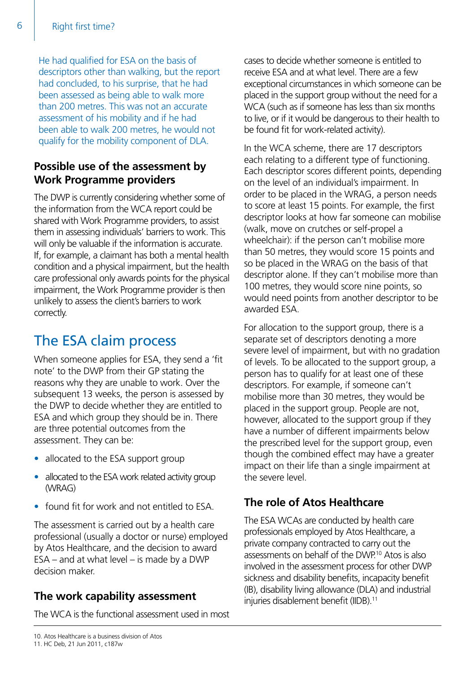He had qualified for ESA on the basis of descriptors other than walking, but the report had concluded, to his surprise, that he had been assessed as being able to walk more than 200 metres. This was not an accurate assessment of his mobility and if he had been able to walk 200 metres, he would not qualify for the mobility component of DLA.

#### **Possible use of the assessment by Work Programme providers**

The DWP is currently considering whether some of the information from the WCA report could be shared with Work Programme providers, to assist them in assessing individuals' barriers to work. This will only be valuable if the information is accurate. If, for example, a claimant has both a mental health condition and a physical impairment, but the health care professional only awards points for the physical impairment, the Work Programme provider is then unlikely to assess the client's barriers to work correctly.

# The ESA claim process

When someone applies for ESA, they send a 'fit note' to the DWP from their GP stating the reasons why they are unable to work. Over the subsequent 13 weeks, the person is assessed by the DWP to decide whether they are entitled to ESA and which group they should be in. There are three potential outcomes from the assessment. They can be:

- allocated to the ESA support group
- allocated to the ESA work related activity group (WRAG)
- found fit for work and not entitled to ESA.

The assessment is carried out by a health care professional (usually a doctor or nurse) employed by Atos Healthcare, and the decision to award  $ESA - and at what level - is made by a DWP$ decision maker.

#### **The work capability assessment**

The WCA is the functional assessment used in most

cases to decide whether someone is entitled to receive ESA and at what level. There are a few exceptional circumstances in which someone can be placed in the support group without the need for a WCA (such as if someone has less than six months to live, or if it would be dangerous to their health to be found fit for work-related activity).

In the WCA scheme, there are 17 descriptors each relating to a different type of functioning. Each descriptor scores different points, depending on the level of an individual's impairment. In order to be placed in the WRAG, a person needs to score at least 15 points. For example, the first descriptor looks at how far someone can mobilise (walk, move on crutches or self-propel a wheelchair): if the person can't mobilise more than 50 metres, they would score 15 points and so be placed in the WRAG on the basis of that descriptor alone. If they can't mobilise more than 100 metres, they would score nine points, so would need points from another descriptor to be awarded ESA.

For allocation to the support group, there is a separate set of descriptors denoting a more severe level of impairment, but with no gradation of levels. To be allocated to the support group, a person has to qualify for at least one of these descriptors. For example, if someone can't mobilise more than 30 metres, they would be placed in the support group. People are not, however, allocated to the support group if they have a number of different impairments below the prescribed level for the support group, even though the combined effect may have a greater impact on their life than a single impairment at the severe level.

### **The role of Atos Healthcare**

The ESA WCAs are conducted by health care professionals employed by Atos Healthcare, a private company contracted to carry out the assessments on behalf of the DWP.10 Atos is also involved in the assessment process for other DWP sickness and disability benefits, incapacity benefit (IB), disability living allowance (DLA) and industrial injuries disablement benefit (IIDB).<sup>11</sup>

<sup>10.</sup> Atos Healthcare is a business division of Atos 11. HC Deb, 21 Jun 2011, c187w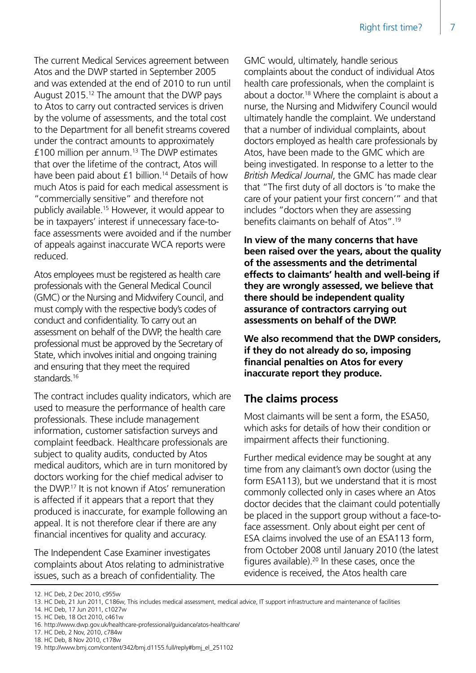The current Medical Services agreement between Atos and the DWP started in September 2005 and was extended at the end of 2010 to run until August 2015.12 The amount that the DWP pays to Atos to carry out contracted services is driven by the volume of assessments, and the total cost to the Department for all benefit streams covered under the contract amounts to approximately £100 million per annum.13 The DWP estimates that over the lifetime of the contract, Atos will have been paid about £1 billion.<sup>14</sup> Details of how much Atos is paid for each medical assessment is "commercially sensitive" and therefore not publicly available.15 However, it would appear to be in taxpayers' interest if unnecessary face-toface assessments were avoided and if the number of appeals against inaccurate WCA reports were reduced.

Atos employees must be registered as health care professionals with the General Medical Council (GMC) or the Nursing and Midwifery Council, and must comply with the respective body's codes of conduct and confidentiality. To carry out an assessment on behalf of the DWP, the health care professional must be approved by the Secretary of State, which involves initial and ongoing training and ensuring that they meet the required standards.<sup>16</sup>

The contract includes quality indicators, which are used to measure the performance of health care professionals. These include management information, customer satisfaction surveys and complaint feedback. Healthcare professionals are subject to quality audits, conducted by Atos medical auditors, which are in turn monitored by doctors working for the chief medical adviser to the DWP.17 It is not known if Atos' remuneration is affected if it appears that a report that they produced is inaccurate, for example following an appeal. It is not therefore clear if there are any financial incentives for quality and accuracy.

The Independent Case Examiner investigates complaints about Atos relating to administrative issues, such as a breach of confidentiality. The

GMC would, ultimately, handle serious complaints about the conduct of individual Atos health care professionals, when the complaint is about a doctor.18 Where the complaint is about a nurse, the Nursing and Midwifery Council would ultimately handle the complaint. We understand that a number of individual complaints, about doctors employed as health care professionals by Atos, have been made to the GMC which are being investigated. In response to a letter to the *British Medical Journal*, the GMC has made clear that "The first duty of all doctors is 'to make the care of your patient your first concern'" and that includes "doctors when they are assessing benefits claimants on behalf of Atos".19

**In view of the many concerns that have been raised over the years, about the quality of the assessments and the detrimental effects to claimants' health and well-being if they are wrongly assessed, we believe that there should be independent quality assurance of contractors carrying out assessments on behalf of the DWP.**

**We also recommend that the DWP considers, if they do not already do so, imposing financial penalties on Atos for every inaccurate report they produce.**

#### **The claims process**

Most claimants will be sent a form, the ESA50, which asks for details of how their condition or impairment affects their functioning.

Further medical evidence may be sought at any time from any claimant's own doctor (using the form ESA113), but we understand that it is most commonly collected only in cases where an Atos doctor decides that the claimant could potentially be placed in the support group without a face-toface assessment. Only about eight per cent of ESA claims involved the use of an ESA113 form, from October 2008 until January 2010 (the latest figures available).20 In these cases, once the evidence is received, the Atos health care

14. HC Deb, 17 Jun 2011, c1027w

<sup>12.</sup> HC Deb, 2 Dec 2010, c955w

<sup>13.</sup> HC Deb, 21 Jun 2011, C186w, This includes medical assessment, medical advice, IT support infrastructure and maintenance of facilities

<sup>15.</sup> HC Deb, 18 Oct 2010, c461w

<sup>16.</sup> http://www.dwp.gov.uk/healthcare-professional/guidance/atos-healthcare/

<sup>17.</sup> HC Deb, 2 Nov, 2010, c784w

<sup>18.</sup> HC Deb, 8 Nov 2010, c178w

<sup>19.</sup> http://www.bmj.com/content/342/bmj.d1155.full/reply#bmj\_el\_251102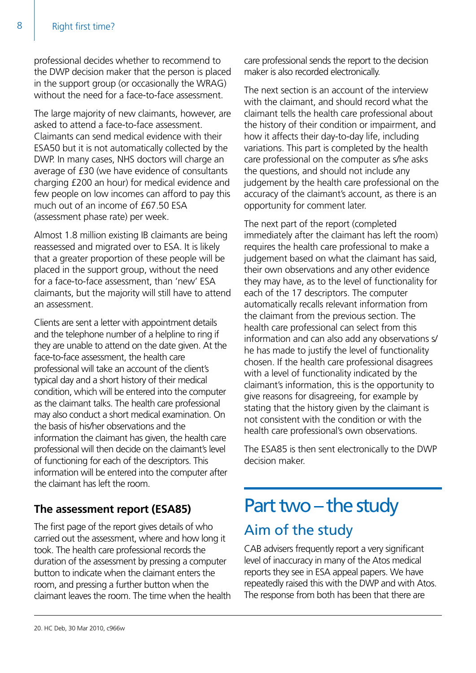professional decides whether to recommend to the DWP decision maker that the person is placed in the support group (or occasionally the WRAG) without the need for a face-to-face assessment.

The large majority of new claimants, however, are asked to attend a face-to-face assessment. Claimants can send medical evidence with their ESA50 but it is not automatically collected by the DWP. In many cases, NHS doctors will charge an average of £30 (we have evidence of consultants charging £200 an hour) for medical evidence and few people on low incomes can afford to pay this much out of an income of £67.50 ESA (assessment phase rate) per week.

Almost 1.8 million existing IB claimants are being reassessed and migrated over to ESA. It is likely that a greater proportion of these people will be placed in the support group, without the need for a face-to-face assessment, than 'new' ESA claimants, but the majority will still have to attend an assessment.

Clients are sent a letter with appointment details and the telephone number of a helpline to ring if they are unable to attend on the date given. At the face-to-face assessment, the health care professional will take an account of the client's typical day and a short history of their medical condition, which will be entered into the computer as the claimant talks. The health care professional may also conduct a short medical examination. On the basis of his/her observations and the information the claimant has given, the health care professional will then decide on the claimant's level of functioning for each of the descriptors. This information will be entered into the computer after the claimant has left the room.

### **The assessment report (ESA85)**

The first page of the report gives details of who carried out the assessment, where and how long it took. The health care professional records the duration of the assessment by pressing a computer button to indicate when the claimant enters the room, and pressing a further button when the claimant leaves the room. The time when the health care professional sends the report to the decision maker is also recorded electronically.

The next section is an account of the interview with the claimant, and should record what the claimant tells the health care professional about the history of their condition or impairment, and how it affects their day-to-day life, including variations. This part is completed by the health care professional on the computer as s/he asks the questions, and should not include any judgement by the health care professional on the accuracy of the claimant's account, as there is an opportunity for comment later.

The next part of the report (completed immediately after the claimant has left the room) requires the health care professional to make a judgement based on what the claimant has said, their own observations and any other evidence they may have, as to the level of functionality for each of the 17 descriptors. The computer automatically recalls relevant information from the claimant from the previous section. The health care professional can select from this information and can also add any observations s/ he has made to justify the level of functionality chosen. If the health care professional disagrees with a level of functionality indicated by the claimant's information, this is the opportunity to give reasons for disagreeing, for example by stating that the history given by the claimant is not consistent with the condition or with the health care professional's own observations.

The ESA85 is then sent electronically to the DWP decision maker.

# Part two – the study Aim of the study

CAB advisers frequently report a very significant level of inaccuracy in many of the Atos medical reports they see in ESA appeal papers. We have repeatedly raised this with the DWP and with Atos. The response from both has been that there are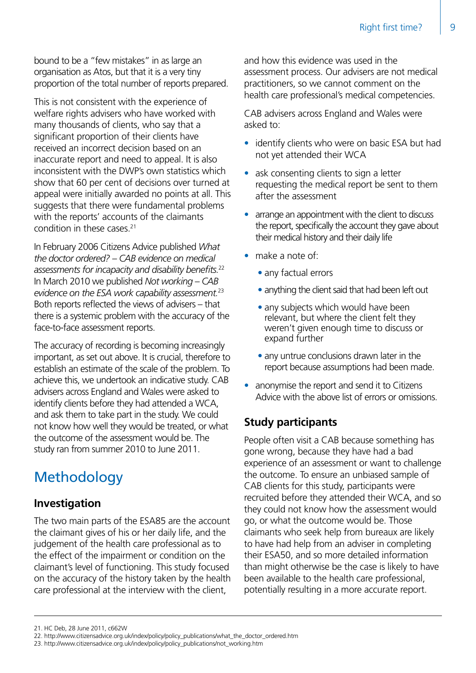bound to be a "few mistakes" in as large an organisation as Atos, but that it is a very tiny proportion of the total number of reports prepared.

This is not consistent with the experience of welfare rights advisers who have worked with many thousands of clients, who say that a significant proportion of their clients have received an incorrect decision based on an inaccurate report and need to appeal. It is also inconsistent with the DWP's own statistics which show that 60 per cent of decisions over turned at appeal were initially awarded no points at all. This suggests that there were fundamental problems with the reports' accounts of the claimants condition in these cases.<sup>21</sup>

In February 2006 Citizens Advice published *What the doctor ordered? – CAB evidence on medical assessments for incapacity and disability benefits.*<sup>22</sup> In March 2010 we published *Not working – CAB evidence on the ESA work capability assessment.*<sup>23</sup> Both reports reflected the views of advisers – that there is a systemic problem with the accuracy of the face-to-face assessment reports.

The accuracy of recording is becoming increasingly important, as set out above. It is crucial, therefore to establish an estimate of the scale of the problem. To achieve this, we undertook an indicative study. CAB advisers across England and Wales were asked to identify clients before they had attended a WCA, and ask them to take part in the study. We could not know how well they would be treated, or what the outcome of the assessment would be. The study ran from summer 2010 to June 2011.

# Methodology

#### **Investigation**

The two main parts of the ESA85 are the account the claimant gives of his or her daily life, and the judgement of the health care professional as to the effect of the impairment or condition on the claimant's level of functioning. This study focused on the accuracy of the history taken by the health care professional at the interview with the client,

and how this evidence was used in the assessment process. Our advisers are not medical practitioners, so we cannot comment on the health care professional's medical competencies.

CAB advisers across England and Wales were asked to:

- identify clients who were on basic ESA but had not yet attended their WCA
- ask consenting clients to sign a letter requesting the medical report be sent to them after the assessment
- arrange an appointment with the client to discuss the report, specifically the account they gave about their medical history and their daily life
- make a note of:
	- any factual errors
	- anything the client said that had been left out
	- any subjects which would have been relevant, but where the client felt they weren't given enough time to discuss or expand further
	- any untrue conclusions drawn later in the report because assumptions had been made.
- anonymise the report and send it to Citizens Advice with the above list of errors or omissions.

#### **Study participants**

People often visit a CAB because something has gone wrong, because they have had a bad experience of an assessment or want to challenge the outcome. To ensure an unbiased sample of CAB clients for this study, participants were recruited before they attended their WCA, and so they could not know how the assessment would go, or what the outcome would be. Those claimants who seek help from bureaux are likely to have had help from an adviser in completing their ESA50, and so more detailed information than might otherwise be the case is likely to have been available to the health care professional, potentially resulting in a more accurate report.

<sup>21.</sup> HC Deb, 28 June 2011, c662W

<sup>22.</sup> http://www.citizensadvice.org.uk/index/policy/policy\_publications/what\_the\_doctor\_ordered.htm

<sup>23.</sup> http://www.citizensadvice.org.uk/index/policy/policy\_publications/not\_working.htm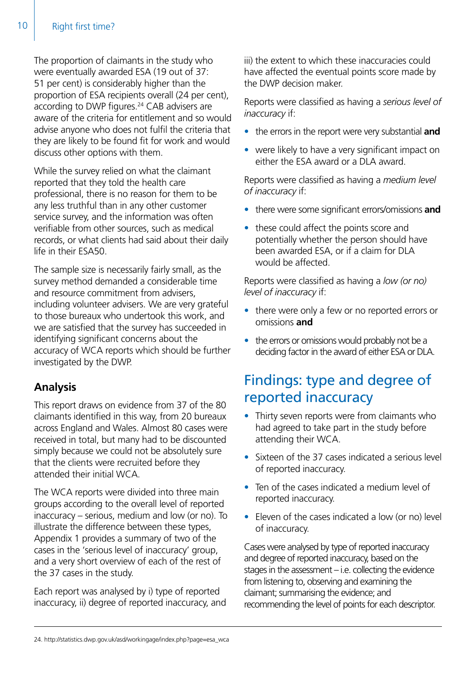The proportion of claimants in the study who were eventually awarded ESA (19 out of 37: 51 per cent) is considerably higher than the proportion of ESA recipients overall (24 per cent), according to DWP figures.<sup>24</sup> CAB advisers are aware of the criteria for entitlement and so would advise anyone who does not fulfil the criteria that they are likely to be found fit for work and would discuss other options with them.

While the survey relied on what the claimant reported that they told the health care professional, there is no reason for them to be any less truthful than in any other customer service survey, and the information was often verifiable from other sources, such as medical records, or what clients had said about their daily life in their ESA50.

The sample size is necessarily fairly small, as the survey method demanded a considerable time and resource commitment from advisers, including volunteer advisers. We are very grateful to those bureaux who undertook this work, and we are satisfied that the survey has succeeded in identifying significant concerns about the accuracy of WCA reports which should be further investigated by the DWP.

### **Analysis**

This report draws on evidence from 37 of the 80 claimants identified in this way, from 20 bureaux across England and Wales. Almost 80 cases were received in total, but many had to be discounted simply because we could not be absolutely sure that the clients were recruited before they attended their initial WCA.

The WCA reports were divided into three main groups according to the overall level of reported inaccuracy – serious, medium and low (or no). To illustrate the difference between these types, Appendix 1 provides a summary of two of the cases in the 'serious level of inaccuracy' group, and a very short overview of each of the rest of the 37 cases in the study.

Each report was analysed by i) type of reported inaccuracy, ii) degree of reported inaccuracy, and iii) the extent to which these inaccuracies could have affected the eventual points score made by the DWP decision maker.

Reports were classified as having a *serious level of inaccuracy* if:

- the errors in the report were very substantial **and**
- were likely to have a very significant impact on either the ESA award or a DLA award.

Reports were classified as having a *medium level of inaccuracy* if:

- there were some significant errors/omissions **and**
- these could affect the points score and potentially whether the person should have been awarded ESA, or if a claim for DLA would be affected.

Reports were classified as having a *low (or no) level of inaccuracy* if:

- there were only a few or no reported errors or omissions **and**
- the errors or omissions would probably not be a deciding factor in the award of either ESA or DLA.

# Findings: type and degree of reported inaccuracy

- Thirty seven reports were from claimants who had agreed to take part in the study before attending their WCA.
- Sixteen of the 37 cases indicated a serious level of reported inaccuracy.
- Ten of the cases indicated a medium level of reported inaccuracy.
- Eleven of the cases indicated a low (or no) level of inaccuracy.

Cases were analysed by type of reported inaccuracy and degree of reported inaccuracy, based on the stages in the assessment – i.e. collecting the evidence from listening to, observing and examining the claimant; summarising the evidence; and recommending the level of points for each descriptor.

<sup>24.</sup> http://statistics.dwp.gov.uk/asd/workingage/index.php?page=esa\_wca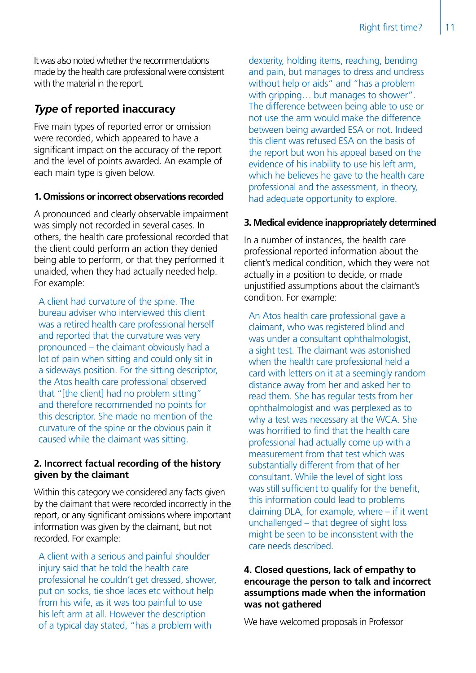It was also noted whether the recommendations made by the health care professional were consistent with the material in the report.

#### *Type* **of reported inaccuracy**

Five main types of reported error or omission were recorded, which appeared to have a significant impact on the accuracy of the report and the level of points awarded. An example of each main type is given below.

#### **1. Omissions orincorrect observations recorded**

A pronounced and clearly observable impairment was simply not recorded in several cases. In others, the health care professional recorded that the client could perform an action they denied being able to perform, or that they performed it unaided, when they had actually needed help. For example:

A client had curvature of the spine. The bureau adviser who interviewed this client was a retired health care professional herself and reported that the curvature was very pronounced – the claimant obviously had a lot of pain when sitting and could only sit in a sideways position. For the sitting descriptor, the Atos health care professional observed that "[the client] had no problem sitting" and therefore recommended no points for this descriptor. She made no mention of the curvature of the spine or the obvious pain it caused while the claimant was sitting.

#### **2. Incorrect factual recording of the history given by the claimant**

Within this category we considered any facts given by the claimant that were recorded incorrectly in the report, or any significant omissions where important information was given by the claimant, but not recorded. For example:

A client with a serious and painful shoulder injury said that he told the health care professional he couldn't get dressed, shower, put on socks, tie shoe laces etc without help from his wife, as it was too painful to use his left arm at all. However the description of a typical day stated, "has a problem with

dexterity, holding items, reaching, bending and pain, but manages to dress and undress without help or aids" and "has a problem with gripping... but manages to shower". The difference between being able to use or not use the arm would make the difference between being awarded ESA or not. Indeed this client was refused ESA on the basis of the report but won his appeal based on the evidence of his inability to use his left arm, which he believes he gave to the health care professional and the assessment, in theory, had adequate opportunity to explore.

#### **3. Medical evidence inappropriately determined**

In a number of instances, the health care professional reported information about the client's medical condition, which they were not actually in a position to decide, or made unjustified assumptions about the claimant's condition. For example:

An Atos health care professional gave a claimant, who was registered blind and was under a consultant ophthalmologist, a sight test. The claimant was astonished when the health care professional held a card with letters on it at a seemingly random distance away from her and asked her to read them. She has regular tests from her ophthalmologist and was perplexed as to why a test was necessary at the WCA. She was horrified to find that the health care professional had actually come up with a measurement from that test which was substantially different from that of her consultant. While the level of sight loss was still sufficient to qualify for the benefit, this information could lead to problems claiming DLA, for example, where – if it went unchallenged – that degree of sight loss might be seen to be inconsistent with the care needs described.

#### **4. Closed questions, lack of empathy to encourage the person to talk and incorrect assumptions made when the information was not gathered**

We have welcomed proposals in Professor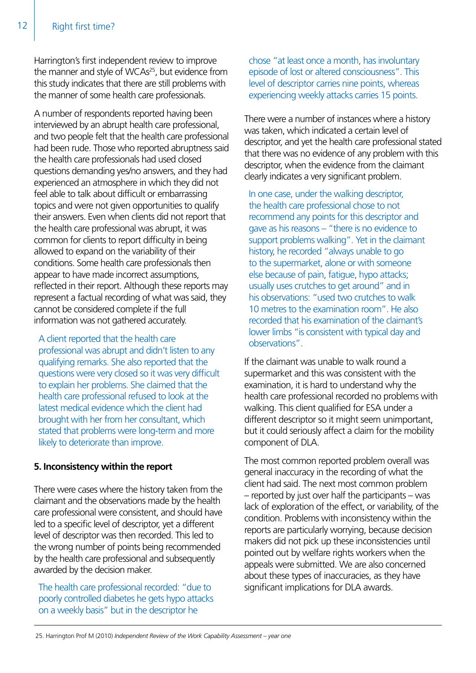Harrington's first independent review to improve the manner and style of WCAs<sup>25</sup>, but evidence from this study indicates that there are still problems with the manner of some health care professionals.

A number of respondents reported having been interviewed by an abrupt health care professional, and two people felt that the health care professional had been rude. Those who reported abruptness said the health care professionals had used closed questions demanding yes/no answers, and they had experienced an atmosphere in which they did not feel able to talk about difficult or embarrassing topics and were not given opportunities to qualify their answers. Even when clients did not report that the health care professional was abrupt, it was common for clients to report difficulty in being allowed to expand on the variability of their conditions. Some health care professionals then appear to have made incorrect assumptions, reflected in their report. Although these reports may represent a factual recording of what was said, they cannot be considered complete if the full information was not gathered accurately.

A client reported that the health care professional was abrupt and didn't listen to any qualifying remarks. She also reported that the questions were very closed so it was very difficult to explain her problems. She claimed that the health care professional refused to look at the latest medical evidence which the client had brought with her from her consultant, which stated that problems were long-term and more likely to deteriorate than improve.

#### **5. Inconsistency within the report**

There were cases where the history taken from the claimant and the observations made by the health care professional were consistent, and should have led to a specific level of descriptor, yet a different level of descriptor was then recorded. This led to the wrong number of points being recommended by the health care professional and subsequently awarded by the decision maker.

The health care professional recorded: "due to poorly controlled diabetes he gets hypo attacks on a weekly basis" but in the descriptor he

chose "at least once a month, has involuntary episode of lost or altered consciousness". This level of descriptor carries nine points, whereas experiencing weekly attacks carries 15 points.

There were a number of instances where a history was taken, which indicated a certain level of descriptor, and yet the health care professional stated that there was no evidence of any problem with this descriptor, when the evidence from the claimant clearly indicates a very significant problem.

In one case, under the walking descriptor, the health care professional chose to not recommend any points for this descriptor and gave as his reasons – "there is no evidence to support problems walking". Yet in the claimant history, he recorded "always unable to go to the supermarket, alone or with someone else because of pain, fatigue, hypo attacks; usually uses crutches to get around" and in his observations: "used two crutches to walk 10 metres to the examination room". He also recorded that his examination of the claimant's lower limbs "is consistent with typical day and observations".

If the claimant was unable to walk round a supermarket and this was consistent with the examination, it is hard to understand why the health care professional recorded no problems with walking. This client qualified for ESA under a different descriptor so it might seem unimportant, but it could seriously affect a claim for the mobility component of DLA.

The most common reported problem overall was general inaccuracy in the recording of what the client had said. The next most common problem – reported by just over half the participants – was lack of exploration of the effect, or variability, of the condition. Problems with inconsistency within the reports are particularly worrying, because decision makers did not pick up these inconsistencies until pointed out by welfare rights workers when the appeals were submitted. We are also concerned about these types of inaccuracies, as they have significant implications for DLA awards.

<sup>25.</sup> Harrington Prof M (2010) *Independent Review of the Work Capability Assessment – year one*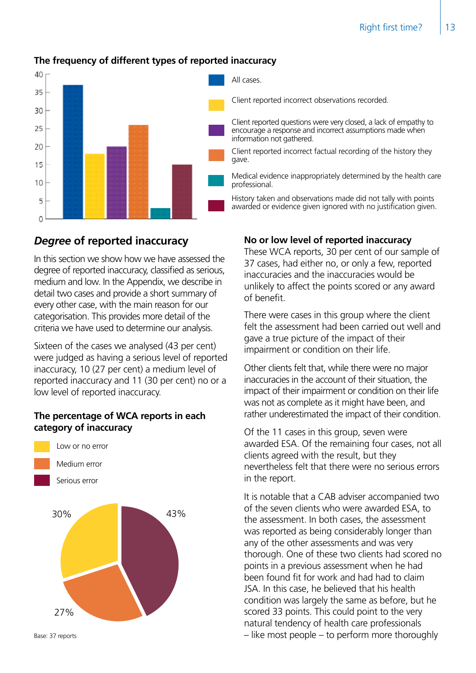

#### **The frequency of different types of reported inaccuracy**

#### *Degree* **of reported inaccuracy**

In this section we show how we have assessed the degree of reported inaccuracy, classified as serious, medium and low. In the Appendix, we describe in detail two cases and provide a short summary of every other case, with the main reason for our categorisation. This provides more detail of the criteria we have used to determine our analysis.

Sixteen of the cases we analysed (43 per cent) were judged as having a serious level of reported inaccuracy, 10 (27 per cent) a medium level of reported inaccuracy and 11 (30 per cent) no or a low level of reported inaccuracy.

#### **The percentage of WCA reports in each category of inaccuracy**



Base: 37 reports

All cases.

Client reported incorrect observations recorded.

Client reported questions were very closed, a lack of empathy to encourage a response and incorrect assumptions made when information not gathered.

Client reported incorrect factual recording of the history they gave.

Medical evidence inappropriately determined by the health care professional.

History taken and observations made did not tally with points awarded or evidence given ignored with no justification given.

#### **No or low level of reported inaccuracy**

These WCA reports, 30 per cent of our sample of 37 cases, had either no, or only a few, reported inaccuracies and the inaccuracies would be unlikely to affect the points scored or any award of benefit.

There were cases in this group where the client felt the assessment had been carried out well and gave a true picture of the impact of their impairment or condition on their life.

Other clients felt that, while there were no major inaccuracies in the account of their situation, the impact of their impairment or condition on their life was not as complete as it might have been, and rather underestimated the impact of their condition.

Of the 11 cases in this group, seven were awarded ESA. Of the remaining four cases, not all clients agreed with the result, but they nevertheless felt that there were no serious errors in the report.

It is notable that a CAB adviser accompanied two of the seven clients who were awarded ESA, to the assessment. In both cases, the assessment was reported as being considerably longer than any of the other assessments and was very thorough. One of these two clients had scored no points in a previous assessment when he had been found fit for work and had had to claim JSA. In this case, he believed that his health condition was largely the same as before, but he scored 33 points. This could point to the very natural tendency of health care professionals – like most people – to perform more thoroughly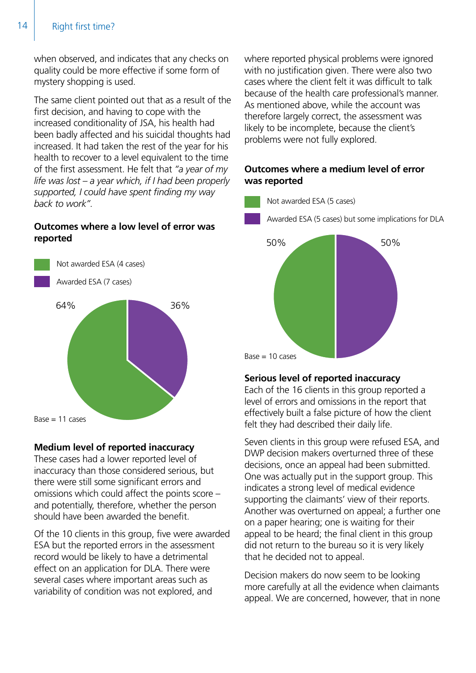#### 14 | Right first time?

when observed, and indicates that any checks on quality could be more effective if some form of mystery shopping is used.

The same client pointed out that as a result of the first decision, and having to cope with the increased conditionality of JSA, his health had been badly affected and his suicidal thoughts had increased. It had taken the rest of the year for his health to recover to a level equivalent to the time of the first assessment. He felt that *"a year of my life was lost – a year which, if I had been properly supported, I could have spent finding my way back to work".* 

#### **Outcomes where a low level of error was reported**



#### **Medium level of reported inaccuracy**

These cases had a lower reported level of inaccuracy than those considered serious, but there were still some significant errors and omissions which could affect the points score – and potentially, therefore, whether the person should have been awarded the benefit.

Of the 10 clients in this group, five were awarded ESA but the reported errors in the assessment record would be likely to have a detrimental effect on an application for DLA. There were several cases where important areas such as variability of condition was not explored, and

where reported physical problems were ignored with no justification given. There were also two cases where the client felt it was difficult to talk because of the health care professional's manner. As mentioned above, while the account was therefore largely correct, the assessment was likely to be incomplete, because the client's problems were not fully explored.

#### **Outcomes where a medium level of error was reported**



#### **Serious level of reported inaccuracy**

Each of the 16 clients in this group reported a level of errors and omissions in the report that effectively built a false picture of how the client felt they had described their daily life.

Seven clients in this group were refused ESA, and DWP decision makers overturned three of these decisions, once an appeal had been submitted. One was actually put in the support group. This indicates a strong level of medical evidence supporting the claimants' view of their reports. Another was overturned on appeal; a further one on a paper hearing; one is waiting for their appeal to be heard; the final client in this group did not return to the bureau so it is very likely that he decided not to appeal.

Decision makers do now seem to be looking more carefully at all the evidence when claimants appeal. We are concerned, however, that in none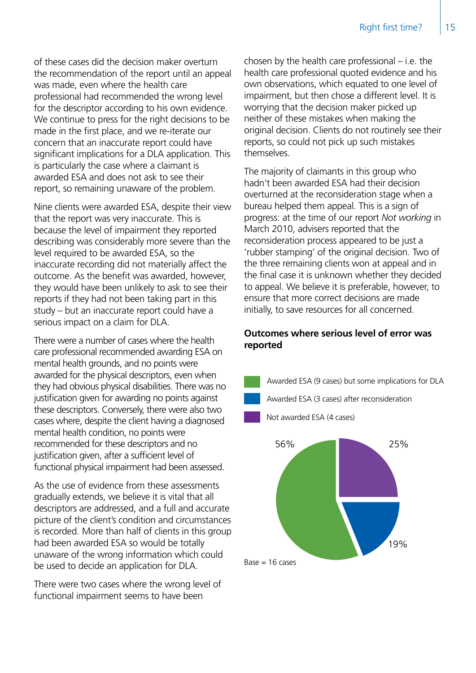of these cases did the decision maker overturn the recommendation of the report until an appeal was made, even where the health care professional had recommended the wrong level for the descriptor according to his own evidence. We continue to press for the right decisions to be made in the first place, and we re-iterate our concern that an inaccurate report could have significant implications for a DLA application. This is particularly the case where a claimant is awarded ESA and does not ask to see their report, so remaining unaware of the problem.

Nine clients were awarded ESA, despite their view that the report was very inaccurate. This is because the level of impairment they reported describing was considerably more severe than the level required to be awarded ESA, so the inaccurate recording did not materially affect the outcome. As the benefit was awarded, however, they would have been unlikely to ask to see their reports if they had not been taking part in this study – but an inaccurate report could have a serious impact on a claim for DLA.

There were a number of cases where the health care professional recommended awarding ESA on mental health grounds, and no points were awarded for the physical descriptors, even when they had obvious physical disabilities. There was no justification given for awarding no points against these descriptors. Conversely, there were also two cases where, despite the client having a diagnosed mental health condition, no points were recommended for these descriptors and no justification given, after a sufficient level of functional physical impairment had been assessed.

As the use of evidence from these assessments gradually extends, we believe it is vital that all descriptors are addressed, and a full and accurate picture of the client's condition and circumstances is recorded. More than half of clients in this group had been awarded ESA so would be totally unaware of the wrong information which could be used to decide an application for DLA.

There were two cases where the wrong level of functional impairment seems to have been

chosen by the health care professional – i.e. the health care professional quoted evidence and his own observations, which equated to one level of impairment, but then chose a different level. It is worrying that the decision maker picked up neither of these mistakes when making the original decision. Clients do not routinely see their reports, so could not pick up such mistakes themselves.

The majority of claimants in this group who hadn't been awarded ESA had their decision overturned at the reconsideration stage when a bureau helped them appeal. This is a sign of progress: at the time of our report *Not working* in March 2010, advisers reported that the reconsideration process appeared to be just a 'rubber stamping' of the original decision. Two of the three remaining clients won at appeal and in the final case it is unknown whether they decided to appeal. We believe it is preferable, however, to ensure that more correct decisions are made initially, to save resources for all concerned.

#### **Outcomes where serious level of error was reported**

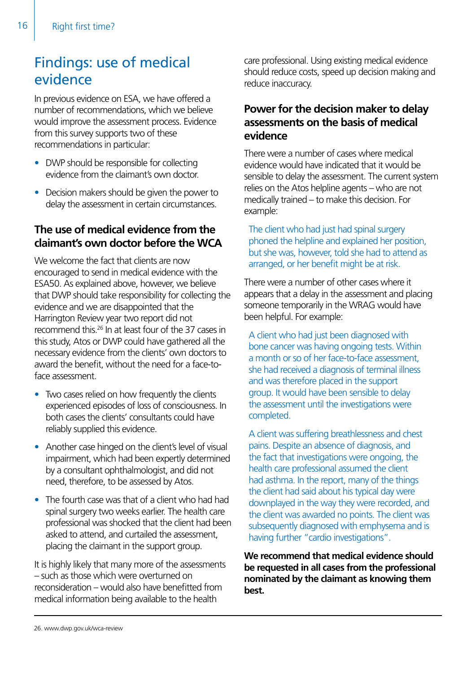# Findings: use of medical evidence

In previous evidence on ESA, we have offered a number of recommendations, which we believe would improve the assessment process. Evidence from this survey supports two of these recommendations in particular:

- DWP should be responsible for collecting evidence from the claimant's own doctor.
- Decision makers should be given the power to delay the assessment in certain circumstances.

#### **The use of medical evidence from the claimant's own doctor before the WCA**

We welcome the fact that clients are now encouraged to send in medical evidence with the ESA50. As explained above, however, we believe that DWP should take responsibility for collecting the evidence and we are disappointed that the Harrington Review year two report did not recommend this.26 In at least four of the 37 cases in this study, Atos or DWP could have gathered all the necessary evidence from the clients' own doctors to award the benefit, without the need for a face-toface assessment.

- Two cases relied on how frequently the clients experienced episodes of loss of consciousness. In both cases the clients' consultants could have reliably supplied this evidence.
- Another case hinged on the client's level of visual impairment, which had been expertly determined by a consultant ophthalmologist, and did not need, therefore, to be assessed by Atos.
- The fourth case was that of a client who had had spinal surgery two weeks earlier. The health care professional was shocked that the client had been asked to attend, and curtailed the assessment, placing the claimant in the support group.

It is highly likely that many more of the assessments – such as those which were overturned on reconsideration – would also have benefitted from medical information being available to the health

care professional. Using existing medical evidence should reduce costs, speed up decision making and reduce inaccuracy.

#### **Power for the decision maker to delay assessments on the basis of medical evidence**

There were a number of cases where medical evidence would have indicated that it would be sensible to delay the assessment. The current system relies on the Atos helpline agents – who are not medically trained – to make this decision. For example:

The client who had just had spinal surgery phoned the helpline and explained her position, but she was, however, told she had to attend as arranged, or her benefit might be at risk.

There were a number of other cases where it appears that a delay in the assessment and placing someone temporarily in the WRAG would have been helpful. For example:

A client who had just been diagnosed with bone cancer was having ongoing tests. Within a month or so of her face-to-face assessment, she had received a diagnosis of terminal illness and was therefore placed in the support group. It would have been sensible to delay the assessment until the investigations were completed.

A client was suffering breathlessness and chest pains. Despite an absence of diagnosis, and the fact that investigations were ongoing, the health care professional assumed the client had asthma. In the report, many of the things the client had said about his typical day were downplayed in the way they were recorded, and the client was awarded no points. The client was subsequently diagnosed with emphysema and is having further "cardio investigations".

**We recommend that medical evidence should be requested in all cases from the professional nominated by the claimant as knowing them best.**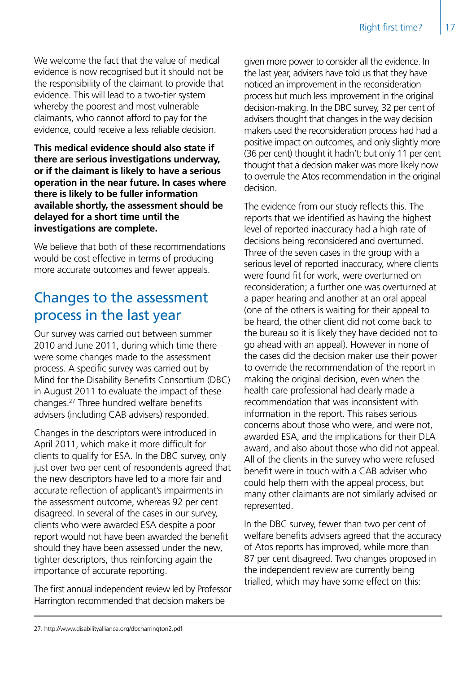We welcome the fact that the value of medical evidence is now recognised but it should not be the responsibility of the claimant to provide that evidence. This will lead to a two-tier system whereby the poorest and most vulnerable claimants, who cannot afford to pay for the evidence, could receive a less reliable decision.

**This medical evidence should also state if there are serious investigations underway, or if the claimant is likely to have a serious operation in the near future. In cases where there is likely to be fuller information available shortly, the assessment should be delayed for a short time until the investigations are complete.**

We believe that both of these recommendations would be cost effective in terms of producing more accurate outcomes and fewer appeals.

# Changes to the assessment process in the last year

Our survey was carried out between summer 2010 and June 2011, during which time there were some changes made to the assessment process. A specific survey was carried out by Mind for the Disability Benefits Consortium (DBC) in August 2011 to evaluate the impact of these changes.27 Three hundred welfare benefits advisers (including CAB advisers) responded.

Changes in the descriptors were introduced in April 2011, which make it more difficult for clients to qualify for ESA. In the DBC survey, only just over two per cent of respondents agreed that the new descriptors have led to a more fair and accurate reflection of applicant's impairments in the assessment outcome, whereas 92 per cent disagreed. In several of the cases in our survey, clients who were awarded ESA despite a poor report would not have been awarded the benefit should they have been assessed under the new, tighter descriptors, thus reinforcing again the importance of accurate reporting.

The first annual independent review led by Professor Harrington recommended that decision makers be

given more power to consider all the evidence. In the last year, advisers have told us that they have noticed an improvement in the reconsideration process but much less improvement in the original decision-making. In the DBC survey, 32 per cent of advisers thought that changes in the way decision makers used the reconsideration process had had a positive impact on outcomes, and only slightly more (36 per cent) thought it hadn't; but only 11 per cent thought that a decision maker was more likely now to overrule the Atos recommendation in the original decision.

The evidence from our study reflects this. The reports that we identified as having the highest level of reported inaccuracy had a high rate of decisions being reconsidered and overturned. Three of the seven cases in the group with a serious level of reported inaccuracy, where clients were found fit for work, were overturned on reconsideration; a further one was overturned at a paper hearing and another at an oral appeal (one of the others is waiting for their appeal to be heard, the other client did not come back to the bureau so it is likely they have decided not to go ahead with an appeal). However in none of the cases did the decision maker use their power to override the recommendation of the report in making the original decision, even when the health care professional had clearly made a recommendation that was inconsistent with information in the report. This raises serious concerns about those who were, and were not, awarded ESA, and the implications for their DLA award, and also about those who did not appeal. All of the clients in the survey who were refused benefit were in touch with a CAB adviser who could help them with the appeal process, but many other claimants are not similarly advised or represented.

In the DBC survey, fewer than two per cent of welfare benefits advisers agreed that the accuracy of Atos reports has improved, while more than 87 per cent disagreed. Two changes proposed in the independent review are currently being trialled, which may have some effect on this:

<sup>27.</sup> http://www.disabilityalliance.org/dbcharrington2.pdf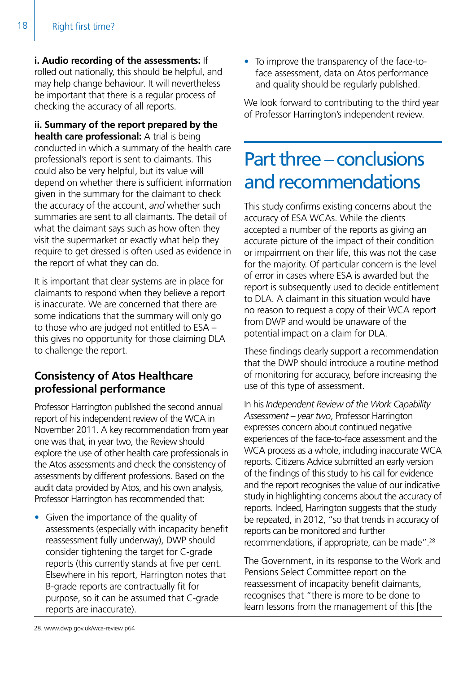**i. Audio recording of the assessments:** If rolled out nationally, this should be helpful, and may help change behaviour. It will nevertheless be important that there is a regular process of checking the accuracy of all reports.

**ii. Summary of the report prepared by the health care professional:** A trial is being conducted in which a summary of the health care professional's report is sent to claimants. This could also be very helpful, but its value will depend on whether there is sufficient information given in the summary for the claimant to check the accuracy of the account, *and* whether such summaries are sent to all claimants. The detail of what the claimant says such as how often they visit the supermarket or exactly what help they require to get dressed is often used as evidence in the report of what they can do.

It is important that clear systems are in place for claimants to respond when they believe a report is inaccurate. We are concerned that there are some indications that the summary will only go to those who are judged not entitled to ESA – this gives no opportunity for those claiming DLA to challenge the report.

### **Consistency of Atos Healthcare professional performance**

Professor Harrington published the second annual report of his independent review of the WCA in November 2011. A key recommendation from year one was that, in year two, the Review should explore the use of other health care professionals in the Atos assessments and check the consistency of assessments by different professions. Based on the audit data provided by Atos, and his own analysis, Professor Harrington has recommended that:

• Given the importance of the quality of assessments (especially with incapacity benefit reassessment fully underway), DWP should consider tightening the target for C-grade reports (this currently stands at five per cent. Elsewhere in his report, Harrington notes that B-grade reports are contractually fit for purpose, so it can be assumed that C-grade reports are inaccurate).

• To improve the transparency of the face-toface assessment, data on Atos performance and quality should be regularly published.

We look forward to contributing to the third year of Professor Harrington's independent review.

# Part three – conclusions and recommendations

This study confirms existing concerns about the accuracy of ESA WCAs. While the clients accepted a number of the reports as giving an accurate picture of the impact of their condition or impairment on their life, this was not the case for the majority. Of particular concern is the level of error in cases where ESA is awarded but the report is subsequently used to decide entitlement to DLA. A claimant in this situation would have no reason to request a copy of their WCA report from DWP and would be unaware of the potential impact on a claim for DLA.

These findings clearly support a recommendation that the DWP should introduce a routine method of monitoring for accuracy, before increasing the use of this type of assessment.

In his *Independent Review of the Work Capability Assessment – year two*, Professor Harrington expresses concern about continued negative experiences of the face-to-face assessment and the WCA process as a whole, including inaccurate WCA reports. Citizens Advice submitted an early version of the findings of this study to his call for evidence and the report recognises the value of our indicative study in highlighting concerns about the accuracy of reports. Indeed, Harrington suggests that the study be repeated, in 2012, "so that trends in accuracy of reports can be monitored and further recommendations, if appropriate, can be made".28

The Government, in its response to the Work and Pensions Select Committee report on the reassessment of incapacity benefit claimants, recognises that "there is more to be done to learn lessons from the management of this [the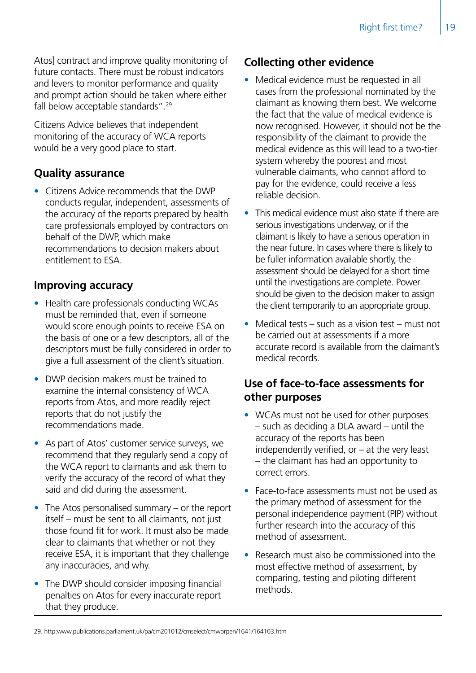Atos] contract and improve quality monitoring of future contacts. There must be robust indicators and levers to monitor performance and quality and prompt action should be taken where either fall below acceptable standards".29

Citizens Advice believes that independent monitoring of the accuracy of WCA reports would be a very good place to start.

#### **Quality assurance**

• Citizens Advice recommends that the DWP conducts regular, independent, assessments of the accuracy of the reports prepared by health care professionals employed by contractors on behalf of the DWP, which make recommendations to decision makers about entitlement to ESA.

#### **Improving accuracy**

- Health care professionals conducting WCAs must be reminded that, even if someone would score enough points to receive ESA on the basis of one or a few descriptors, all of the descriptors must be fully considered in order to give a full assessment of the client's situation.
- DWP decision makers must be trained to examine the internal consistency of WCA reports from Atos, and more readily reject reports that do not justify the recommendations made.
- As part of Atos' customer service surveys, we recommend that they regularly send a copy of the WCA report to claimants and ask them to verify the accuracy of the record of what they said and did during the assessment.
- The Atos personalised summary or the report itself – must be sent to all claimants, not just those found fit for work. It must also be made clear to claimants that whether or not they receive ESA, it is important that they challenge any inaccuracies, and why.
- The DWP should consider imposing financial penalties on Atos for every inaccurate report that they produce.

#### **Collecting other evidence**

- Medical evidence must be requested in all cases from the professional nominated by the claimant as knowing them best. We welcome the fact that the value of medical evidence is now recognised. However, it should not be the responsibility of the claimant to provide the medical evidence as this will lead to a two-tier system whereby the poorest and most vulnerable claimants, who cannot afford to pay for the evidence, could receive a less reliable decision.
- This medical evidence must also state if there are serious investigations underway, or if the claimant is likely to have a serious operation in the near future. In cases where there is likely to be fuller information available shortly, the assessment should be delayed for a short time until the investigations are complete. Power should be given to the decision maker to assign the client temporarily to an appropriate group.
- Medical tests such as a vision test must not be carried out at assessments if a more accurate record is available from the claimant's medical records.

#### **Use of face-to-face assessments for other purposes**

- WCAs must not be used for other purposes – such as deciding a DLA award – until the accuracy of the reports has been independently verified, or – at the very least – the claimant has had an opportunity to correct errors.
- Face-to-face assessments must not be used as the primary method of assessment for the personal independence payment (PIP) without further research into the accuracy of this method of assessment.
- Research must also be commissioned into the most effective method of assessment, by comparing, testing and piloting different methods.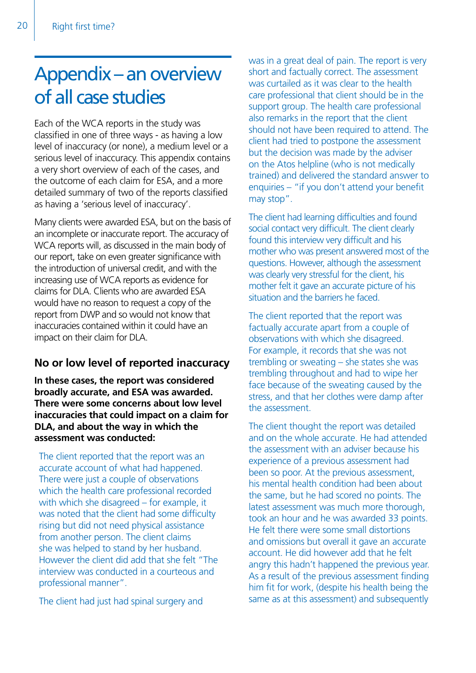# Appendix – an overview of all case studies

Each of the WCA reports in the study was classified in one of three ways - as having a low level of inaccuracy (or none), a medium level or a serious level of inaccuracy. This appendix contains a very short overview of each of the cases, and the outcome of each claim for ESA, and a more detailed summary of two of the reports classified as having a 'serious level of inaccuracy'.

Many clients were awarded ESA, but on the basis of an incomplete or inaccurate report. The accuracy of WCA reports will, as discussed in the main body of our report, take on even greater significance with the introduction of universal credit, and with the increasing use of WCA reports as evidence for claims for DLA. Clients who are awarded ESA would have no reason to request a copy of the report from DWP and so would not know that inaccuracies contained within it could have an impact on their claim for DLA.

#### **No or low level of reported inaccuracy**

**In these cases, the report was considered broadly accurate, and ESA was awarded. There were some concerns about low level inaccuracies that could impact on a claim for DLA, and about the way in which the assessment was conducted:**

The client reported that the report was an accurate account of what had happened. There were just a couple of observations which the health care professional recorded with which she disagreed – for example, it was noted that the client had some difficulty rising but did not need physical assistance from another person. The client claims she was helped to stand by her husband. However the client did add that she felt "The interview was conducted in a courteous and professional manner".

The client had just had spinal surgery and

was in a great deal of pain. The report is very short and factually correct. The assessment was curtailed as it was clear to the health care professional that client should be in the support group. The health care professional also remarks in the report that the client should not have been required to attend. The client had tried to postpone the assessment but the decision was made by the adviser on the Atos helpline (who is not medically trained) and delivered the standard answer to enquiries – "if you don't attend your benefit may stop".

The client had learning difficulties and found social contact very difficult. The client clearly found this interview very difficult and his mother who was present answered most of the questions. However, although the assessment was clearly very stressful for the client, his mother felt it gave an accurate picture of his situation and the barriers he faced.

The client reported that the report was factually accurate apart from a couple of observations with which she disagreed. For example, it records that she was not trembling or sweating – she states she was trembling throughout and had to wipe her face because of the sweating caused by the stress, and that her clothes were damp after the assessment.

The client thought the report was detailed and on the whole accurate. He had attended the assessment with an adviser because his experience of a previous assessment had been so poor. At the previous assessment, his mental health condition had been about the same, but he had scored no points. The latest assessment was much more thorough, took an hour and he was awarded 33 points. He felt there were some small distortions and omissions but overall it gave an accurate account. He did however add that he felt angry this hadn't happened the previous year. As a result of the previous assessment finding him fit for work, (despite his health being the same as at this assessment) and subsequently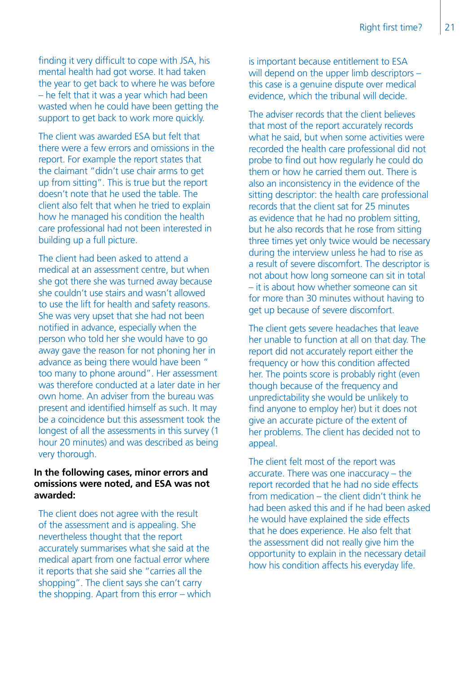finding it very difficult to cope with JSA, his mental health had got worse. It had taken the year to get back to where he was before – he felt that it was a year which had been wasted when he could have been getting the support to get back to work more quickly.

The client was awarded ESA but felt that there were a few errors and omissions in the report. For example the report states that the claimant "didn't use chair arms to get up from sitting". This is true but the report doesn't note that he used the table. The client also felt that when he tried to explain how he managed his condition the health care professional had not been interested in building up a full picture.

The client had been asked to attend a medical at an assessment centre, but when she got there she was turned away because she couldn't use stairs and wasn't allowed to use the lift for health and safety reasons. She was very upset that she had not been notified in advance, especially when the person who told her she would have to go away gave the reason for not phoning her in advance as being there would have been " too many to phone around". Her assessment was therefore conducted at a later date in her own home. An adviser from the bureau was present and identified himself as such. It may be a coincidence but this assessment took the longest of all the assessments in this survey (1 hour 20 minutes) and was described as being very thorough.

#### **In the following cases, minor errors and omissions were noted, and ESA was not awarded:**

The client does not agree with the result of the assessment and is appealing. She nevertheless thought that the report accurately summarises what she said at the medical apart from one factual error where it reports that she said she "carries all the shopping". The client says she can't carry the shopping. Apart from this error – which is important because entitlement to ESA will depend on the upper limb descriptors this case is a genuine dispute over medical evidence, which the tribunal will decide.

The adviser records that the client believes that most of the report accurately records what he said, but when some activities were recorded the health care professional did not probe to find out how regularly he could do them or how he carried them out. There is also an inconsistency in the evidence of the sitting descriptor: the health care professional records that the client sat for 25 minutes as evidence that he had no problem sitting, but he also records that he rose from sitting three times yet only twice would be necessary during the interview unless he had to rise as a result of severe discomfort. The descriptor is not about how long someone can sit in total – it is about how whether someone can sit for more than 30 minutes without having to get up because of severe discomfort.

The client gets severe headaches that leave her unable to function at all on that day. The report did not accurately report either the frequency or how this condition affected her. The points score is probably right (even though because of the frequency and unpredictability she would be unlikely to find anyone to employ her) but it does not give an accurate picture of the extent of her problems. The client has decided not to appeal.

The client felt most of the report was accurate. There was one inaccuracy – the report recorded that he had no side effects from medication – the client didn't think he had been asked this and if he had been asked he would have explained the side effects that he does experience. He also felt that the assessment did not really give him the opportunity to explain in the necessary detail how his condition affects his everyday life.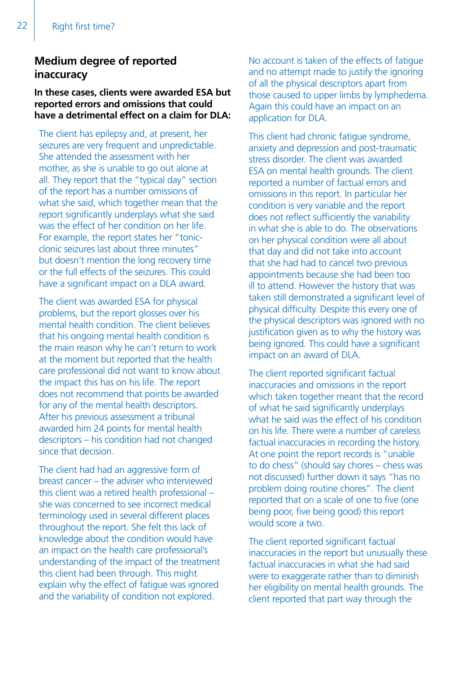#### **Medium degree of reported inaccuracy**

**In these cases, clients were awarded ESA but reported errors and omissions that could have a detrimental effect on a claim for DLA:**

The client has epilepsy and, at present, her seizures are very frequent and unpredictable. She attended the assessment with her mother, as she is unable to go out alone at all. They report that the "typical day" section of the report has a number omissions of what she said, which together mean that the report significantly underplays what she said was the effect of her condition on her life. For example, the report states her "tonicclonic seizures last about three minutes" but doesn't mention the long recovery time or the full effects of the seizures. This could have a significant impact on a DLA award.

The client was awarded ESA for physical problems, but the report glosses over his mental health condition. The client believes that his ongoing mental health condition is the main reason why he can't return to work at the moment but reported that the health care professional did not want to know about the impact this has on his life. The report does not recommend that points be awarded for any of the mental health descriptors. After his previous assessment a tribunal awarded him 24 points for mental health descriptors – his condition had not changed since that decision.

The client had had an aggressive form of breast cancer – the adviser who interviewed this client was a retired health professional – she was concerned to see incorrect medical terminology used in several different places throughout the report. She felt this lack of knowledge about the condition would have an impact on the health care professional's understanding of the impact of the treatment this client had been through. This might explain why the effect of fatigue was ignored and the variability of condition not explored.

No account is taken of the effects of fatigue and no attempt made to justify the ignoring of all the physical descriptors apart from those caused to upper limbs by lymphedema. Again this could have an impact on an application for DLA.

This client had chronic fatigue syndrome, anxiety and depression and post-traumatic stress disorder. The client was awarded ESA on mental health grounds. The client reported a number of factual errors and omissions in this report. In particular her condition is very variable and the report does not reflect sufficiently the variability in what she is able to do. The observations on her physical condition were all about that day and did not take into account that she had had to cancel two previous appointments because she had been too ill to attend. However the history that was taken still demonstrated a significant level of physical difficulty. Despite this every one of the physical descriptors was ignored with no justification given as to why the history was being ignored. This could have a significant impact on an award of DLA.

The client reported significant factual inaccuracies and omissions in the report which taken together meant that the record of what he said significantly underplays what he said was the effect of his condition on his life. There were a number of careless factual inaccuracies in recording the history. At one point the report records is "unable to do chess" (should say chores – chess was not discussed) further down it says "has no problem doing routine chores". The client reported that on a scale of one to five (one being poor, five being good) this report would score a two.

The client reported significant factual inaccuracies in the report but unusually these factual inaccuracies in what she had said were to exaggerate rather than to diminish her eligibility on mental health grounds. The client reported that part way through the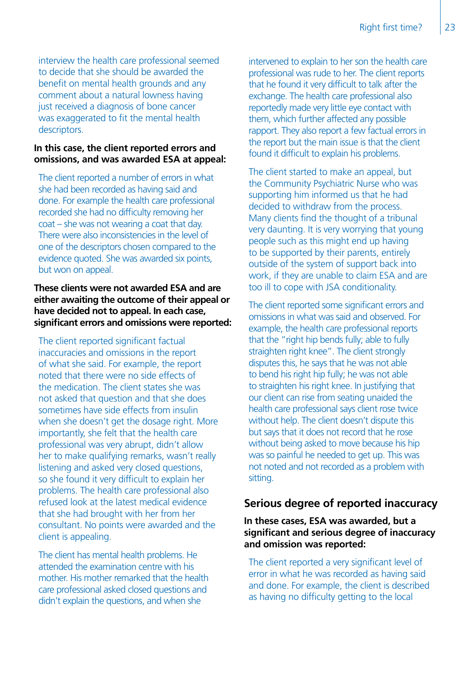interview the health care professional seemed to decide that she should be awarded the benefit on mental health grounds and any comment about a natural lowness having just received a diagnosis of bone cancer was exaggerated to fit the mental health descriptors.

#### **In this case, the client reported errors and omissions, and was awarded ESA at appeal:**

The client reported a number of errors in what she had been recorded as having said and done. For example the health care professional recorded she had no difficulty removing her coat – she was not wearing a coat that day. There were also inconsistencies in the level of one of the descriptors chosen compared to the evidence quoted. She was awarded six points, but won on appeal.

#### **These clients were not awarded ESA and are either awaiting the outcome of their appeal or have decided not to appeal. In each case, significant errors and omissions were reported:**

The client reported significant factual inaccuracies and omissions in the report of what she said. For example, the report noted that there were no side effects of the medication. The client states she was not asked that question and that she does sometimes have side effects from insulin when she doesn't get the dosage right. More importantly, she felt that the health care professional was very abrupt, didn't allow her to make qualifying remarks, wasn't really listening and asked very closed questions, so she found it very difficult to explain her problems. The health care professional also refused look at the latest medical evidence that she had brought with her from her consultant. No points were awarded and the client is appealing.

The client has mental health problems. He attended the examination centre with his mother. His mother remarked that the health care professional asked closed questions and didn't explain the questions, and when she

intervened to explain to her son the health care professional was rude to her. The client reports that he found it very difficult to talk after the exchange. The health care professional also reportedly made very little eye contact with them, which further affected any possible rapport. They also report a few factual errors in the report but the main issue is that the client found it difficult to explain his problems.

The client started to make an appeal, but the Community Psychiatric Nurse who was supporting him informed us that he had decided to withdraw from the process. Many clients find the thought of a tribunal very daunting. It is very worrying that young people such as this might end up having to be supported by their parents, entirely outside of the system of support back into work, if they are unable to claim ESA and are too ill to cope with JSA conditionality.

The client reported some significant errors and omissions in what was said and observed. For example, the health care professional reports that the "right hip bends fully; able to fully straighten right knee". The client strongly disputes this, he says that he was not able to bend his right hip fully; he was not able to straighten his right knee. In justifying that our client can rise from seating unaided the health care professional says client rose twice without help. The client doesn't dispute this but says that it does not record that he rose without being asked to move because his hip was so painful he needed to get up. This was not noted and not recorded as a problem with sitting.

#### **Serious degree of reported inaccuracy**

#### **In these cases, ESA was awarded, but a significant and serious degree of inaccuracy and omission was reported:**

The client reported a very significant level of error in what he was recorded as having said and done. For example, the client is described as having no difficulty getting to the local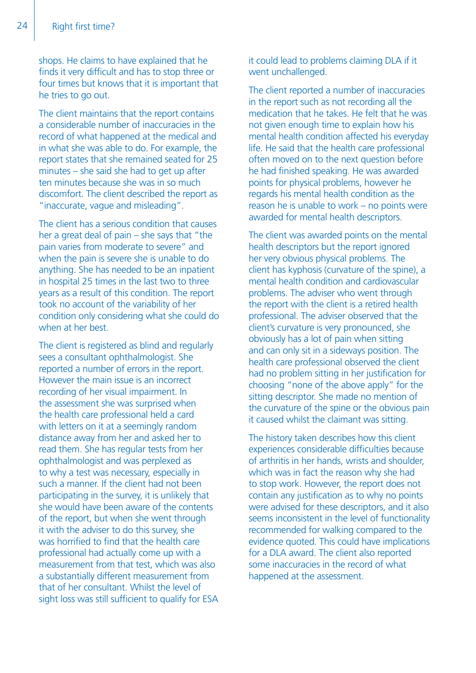shops. He claims to have explained that he finds it very difficult and has to stop three or four times but knows that it is important that he tries to go out.

The client maintains that the report contains a considerable number of inaccuracies in the record of what happened at the medical and in what she was able to do. For example, the report states that she remained seated for 25 minutes – she said she had to get up after ten minutes because she was in so much discomfort. The client described the report as "inaccurate, vague and misleading".

The client has a serious condition that causes her a great deal of pain – she says that "the pain varies from moderate to severe" and when the pain is severe she is unable to do anything. She has needed to be an inpatient in hospital 25 times in the last two to three years as a result of this condition. The report took no account of the variability of her condition only considering what she could do when at her best.

The client is registered as blind and regularly sees a consultant ophthalmologist. She reported a number of errors in the report. However the main issue is an incorrect recording of her visual impairment. In the assessment she was surprised when the health care professional held a card with letters on it at a seemingly random distance away from her and asked her to read them. She has regular tests from her ophthalmologist and was perplexed as to why a test was necessary, especially in such a manner. If the client had not been participating in the survey, it is unlikely that she would have been aware of the contents of the report, but when she went through it with the adviser to do this survey, she was horrified to find that the health care professional had actually come up with a measurement from that test, which was also a substantially different measurement from that of her consultant. Whilst the level of sight loss was still sufficient to qualify for ESA it could lead to problems claiming DLA if it went unchallenged.

The client reported a number of inaccuracies in the report such as not recording all the medication that he takes. He felt that he was not given enough time to explain how his mental health condition affected his everyday life. He said that the health care professional often moved on to the next question before he had finished speaking. He was awarded points for physical problems, however he regards his mental health condition as the reason he is unable to work – no points were awarded for mental health descriptors.

The client was awarded points on the mental health descriptors but the report ignored her very obvious physical problems. The client has kyphosis (curvature of the spine), a mental health condition and cardiovascular problems. The adviser who went through the report with the client is a retired health professional. The adviser observed that the client's curvature is very pronounced, she obviously has a lot of pain when sitting and can only sit in a sideways position. The health care professional observed the client had no problem sitting in her justification for choosing "none of the above apply" for the sitting descriptor. She made no mention of the curvature of the spine or the obvious pain it caused whilst the claimant was sitting.

The history taken describes how this client experiences considerable difficulties because of arthritis in her hands, wrists and shoulder, which was in fact the reason why she had to stop work. However, the report does not contain any justification as to why no points were advised for these descriptors, and it also seems inconsistent in the level of functionality recommended for walking compared to the evidence quoted. This could have implications for a DLA award. The client also reported some inaccuracies in the record of what happened at the assessment.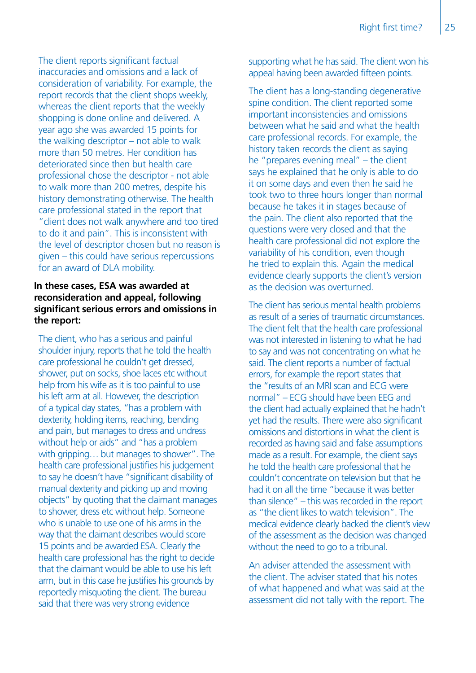The client reports significant factual inaccuracies and omissions and a lack of consideration of variability. For example, the report records that the client shops weekly, whereas the client reports that the weekly shopping is done online and delivered. A year ago she was awarded 15 points for the walking descriptor – not able to walk more than 50 metres. Her condition has deteriorated since then but health care professional chose the descriptor - not able to walk more than 200 metres, despite his history demonstrating otherwise. The health care professional stated in the report that "client does not walk anywhere and too tired to do it and pain". This is inconsistent with the level of descriptor chosen but no reason is given – this could have serious repercussions for an award of DLA mobility.

#### **In these cases, ESA was awarded at reconsideration and appeal, following significant serious errors and omissions in the report:**

The client, who has a serious and painful shoulder injury, reports that he told the health care professional he couldn't get dressed, shower, put on socks, shoe laces etc without help from his wife as it is too painful to use his left arm at all. However, the description of a typical day states, "has a problem with dexterity, holding items, reaching, bending and pain, but manages to dress and undress without help or aids" and "has a problem with gripping… but manages to shower". The health care professional justifies his judgement to say he doesn't have "significant disability of manual dexterity and picking up and moving objects" by quoting that the claimant manages to shower, dress etc without help. Someone who is unable to use one of his arms in the way that the claimant describes would score 15 points and be awarded ESA. Clearly the health care professional has the right to decide that the claimant would be able to use his left arm, but in this case he justifies his grounds by reportedly misquoting the client. The bureau said that there was very strong evidence

supporting what he has said. The client won his appeal having been awarded fifteen points.

The client has a long-standing degenerative spine condition. The client reported some important inconsistencies and omissions between what he said and what the health care professional records. For example, the history taken records the client as saying he "prepares evening meal" – the client says he explained that he only is able to do it on some days and even then he said he took two to three hours longer than normal because he takes it in stages because of the pain. The client also reported that the questions were very closed and that the health care professional did not explore the variability of his condition, even though he tried to explain this. Again the medical evidence clearly supports the client's version as the decision was overturned.

The client has serious mental health problems as result of a series of traumatic circumstances. The client felt that the health care professional was not interested in listening to what he had to say and was not concentrating on what he said. The client reports a number of factual errors, for example the report states that the "results of an MRI scan and ECG were normal" – ECG should have been EEG and the client had actually explained that he hadn't yet had the results. There were also significant omissions and distortions in what the client is recorded as having said and false assumptions made as a result. For example, the client says he told the health care professional that he couldn't concentrate on television but that he had it on all the time "because it was better than silence" – this was recorded in the report as "the client likes to watch television". The medical evidence clearly backed the client's view of the assessment as the decision was changed without the need to go to a tribunal.

An adviser attended the assessment with the client. The adviser stated that his notes of what happened and what was said at the assessment did not tally with the report. The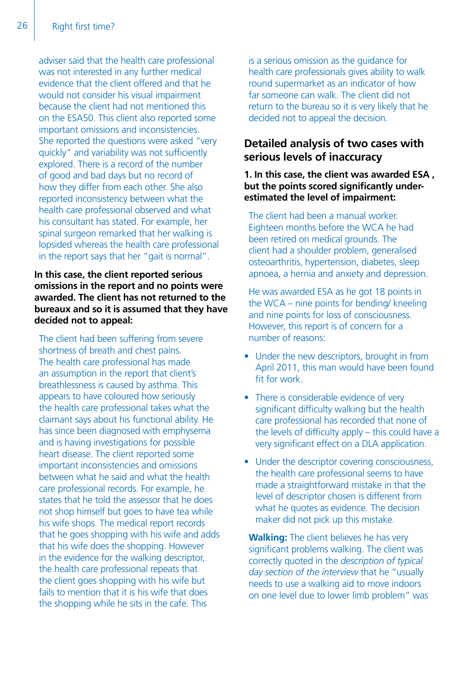adviser said that the health care professional was not interested in any further medical evidence that the client offered and that he would not consider his visual impairment because the client had not mentioned this on the ESA50. This client also reported some important omissions and inconsistencies. She reported the questions were asked "very quickly" and variability was not sufficiently explored. There is a record of the number of good and bad days but no record of how they differ from each other. She also reported inconsistency between what the health care professional observed and what his consultant has stated. For example, her spinal surgeon remarked that her walking is lopsided whereas the health care professional in the report says that her "gait is normal".

#### **In this case, the client reported serious omissions in the report and no points were awarded. The client has not returned to the bureaux and so it is assumed that they have decided not to appeal:**

The client had been suffering from severe shortness of breath and chest pains. The health care professional has made an assumption in the report that client's breathlessness is caused by asthma. This appears to have coloured how seriously the health care professional takes what the claimant says about his functional ability. He has since been diagnosed with emphysema and is having investigations for possible heart disease. The client reported some important inconsistencies and omissions between what he said and what the health care professional records. For example, he states that he told the assessor that he does not shop himself but goes to have tea while his wife shops. The medical report records that he goes shopping with his wife and adds that his wife does the shopping. However in the evidence for the walking descriptor, the health care professional repeats that the client goes shopping with his wife but fails to mention that it is his wife that does the shopping while he sits in the cafe. This

is a serious omission as the guidance for health care professionals gives ability to walk round supermarket as an indicator of how far someone can walk. The client did not return to the bureau so it is very likely that he decided not to appeal the decision.

#### **Detailed analysis of two cases with serious levels of inaccuracy**

#### **1. In this case, the client was awarded ESA , but the points scored significantly underestimated the level of impairment:**

The client had been a manual worker. Eighteen months before the WCA he had been retired on medical grounds. The client had a shoulder problem, generalised osteoarthritis, hypertension, diabetes, sleep apnoea, a hernia and anxiety and depression.

He was awarded ESA as he got 18 points in the WCA – nine points for bending/ kneeling and nine points for loss of consciousness. However, this report is of concern for a number of reasons:

- Under the new descriptors, brought in from April 2011, this man would have been found fit for work.
- There is considerable evidence of very significant difficulty walking but the health care professional has recorded that none of the levels of difficulty apply – this could have a very significant effect on a DLA application.
- Under the descriptor covering consciousness, the health care professional seems to have made a straightforward mistake in that the level of descriptor chosen is different from what he quotes as evidence. The decision maker did not pick up this mistake.

**Walking:** The client believes he has very significant problems walking. The client was correctly quoted in the *description of typical day section of the interview* that he "usually needs to use a walking aid to move indoors on one level due to lower limb problem" was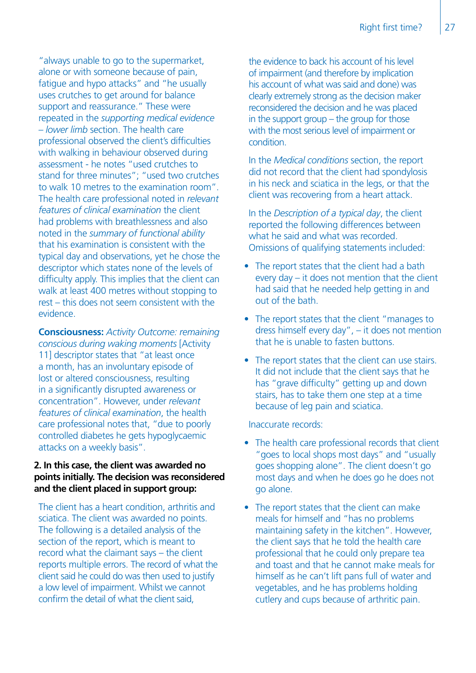"always unable to go to the supermarket, alone or with someone because of pain, fatigue and hypo attacks" and "he usually uses crutches to get around for balance support and reassurance." These were repeated in the *supporting medical evidence – lower limb* section. The health care professional observed the client's difficulties with walking in behaviour observed during assessment - he notes "used crutches to stand for three minutes"; "used two crutches to walk 10 metres to the examination room". The health care professional noted in *relevant features of clinical examination* the client had problems with breathlessness and also noted in the *summary of functional ability*  that his examination is consistent with the typical day and observations, yet he chose the descriptor which states none of the levels of difficulty apply. This implies that the client can walk at least 400 metres without stopping to rest – this does not seem consistent with the evidence.

**Consciousness:** *Activity Outcome: remaining conscious during waking moments* [Activity 11] descriptor states that "at least once a month, has an involuntary episode of lost or altered consciousness, resulting in a significantly disrupted awareness or concentration". However, under *relevant features of clinical examination*, the health care professional notes that, "due to poorly controlled diabetes he gets hypoglycaemic attacks on a weekly basis".

#### **2. In this case, the client was awarded no points initially. The decision was reconsidered and the client placed in support group:**

The client has a heart condition, arthritis and sciatica. The client was awarded no points. The following is a detailed analysis of the section of the report, which is meant to record what the claimant says – the client reports multiple errors. The record of what the client said he could do was then used to justify a low level of impairment. Whilst we cannot confirm the detail of what the client said,

the evidence to back his account of his level of impairment (and therefore by implication his account of what was said and done) was clearly extremely strong as the decision maker reconsidered the decision and he was placed in the support group – the group for those with the most serious level of impairment or condition.

In the *Medical conditions* section, the report did not record that the client had spondylosis in his neck and sciatica in the legs, or that the client was recovering from a heart attack.

In the *Description of a typical day*, the client reported the following differences between what he said and what was recorded. Omissions of qualifying statements included:

- The report states that the client had a bath every day – it does not mention that the client had said that he needed help getting in and out of the bath.
- The report states that the client "manages to dress himself every day", – it does not mention that he is unable to fasten buttons.
- The report states that the client can use stairs. It did not include that the client says that he has "grave difficulty" getting up and down stairs, has to take them one step at a time because of leg pain and sciatica.

#### Inaccurate records:

- The health care professional records that client "goes to local shops most days" and "usually goes shopping alone". The client doesn't go most days and when he does go he does not go alone.
- The report states that the client can make meals for himself and "has no problems maintaining safety in the kitchen". However, the client says that he told the health care professional that he could only prepare tea and toast and that he cannot make meals for himself as he can't lift pans full of water and vegetables, and he has problems holding cutlery and cups because of arthritic pain.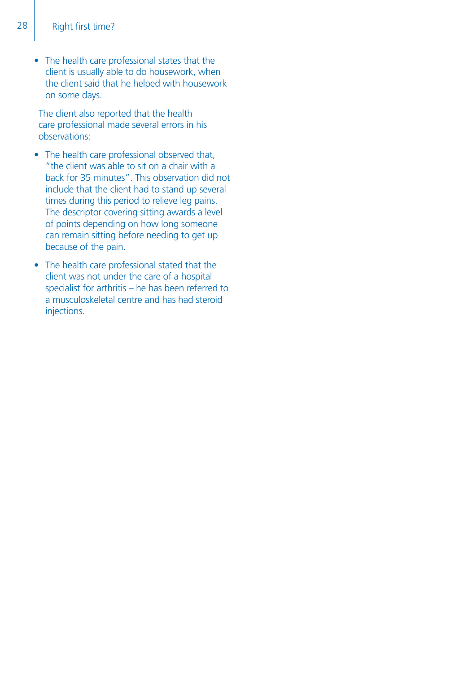• The health care professional states that the client is usually able to do housework, when the client said that he helped with housework on some days.

The client also reported that the health care professional made several errors in his observations:

- The health care professional observed that, "the client was able to sit on a chair with a back for 35 minutes". This observation did not include that the client had to stand up several times during this period to relieve leg pains. The descriptor covering sitting awards a level of points depending on how long someone can remain sitting before needing to get up because of the pain.
- The health care professional stated that the client was not under the care of a hospital specialist for arthritis – he has been referred to a musculoskeletal centre and has had steroid injections.